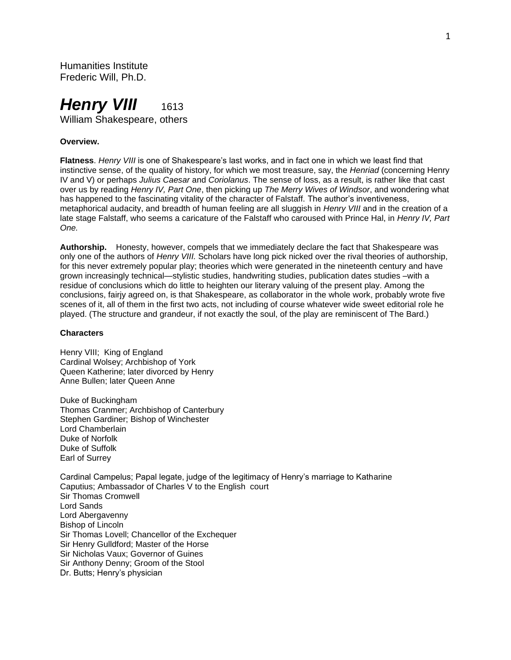Humanities Institute Frederic Will, Ph.D.

# *Henry VIII* 1613 William Shakespeare, others

#### **Overview.**

**Flatness**. *Henry VIII* is one of Shakespeare's last works, and in fact one in which we least find that instinctive sense, of the quality of history, for which we most treasure, say, the *Henriad* (concerning Henry IV and V) or perhaps *Julius Caesar* and *Coriolanus*. The sense of loss, as a result, is rather like that cast over us by reading *Henry IV, Part One*, then picking up *The Merry Wives of Windsor*, and wondering what has happened to the fascinating vitality of the character of Falstaff. The author's inventiveness, metaphorical audacity, and breadth of human feeling are all sluggish in *Henry VIII* and in the creation of a late stage Falstaff, who seems a caricature of the Falstaff who caroused with Prince Hal, in *Henry IV, Part One.*

**Authorship.** Honesty, however, compels that we immediately declare the fact that Shakespeare was only one of the authors of *Henry VIII.* Scholars have long pick nicked over the rival theories of authorship, for this never extremely popular play; theories which were generated in the nineteenth century and have grown increasingly technical—stylistic studies, handwriting studies, publication dates studies –with a residue of conclusions which do little to heighten our literary valuing of the present play. Among the conclusions, fairjy agreed on, is that Shakespeare, as collaborator in the whole work, probably wrote five scenes of it, all of them in the first two acts, not including of course whatever wide sweet editorial role he played. (The structure and grandeur, if not exactly the soul, of the play are reminiscent of The Bard.)

#### **Characters**

Henry VIII; King of England Cardinal Wolsey; Archbishop of York Queen Katherine; later divorced by Henry Anne Bullen; later Queen Anne

Duke of Buckingham Thomas Cranmer; Archbishop of Canterbury Stephen Gardiner; Bishop of Winchester Lord Chamberlain Duke of Norfolk Duke of Suffolk Earl of Surrey

Cardinal Campelus; Papal legate, judge of the legitimacy of Henry's marriage to Katharine Caputius; Ambassador of Charles V to the English court Sir Thomas Cromwell Lord Sands Lord Abergavenny Bishop of Lincoln Sir Thomas Lovell; Chancellor of the Exchequer Sir Henry Gulldford; Master of the Horse Sir Nicholas Vaux; Governor of Guines Sir Anthony Denny; Groom of the Stool Dr. Butts; Henry's physician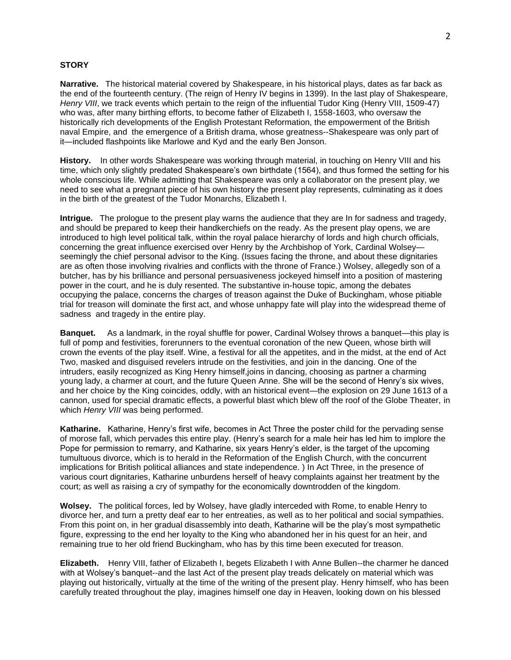### **STORY**

**Narrative.** The historical material covered by Shakespeare, in his historical plays, dates as far back as the end of the fourteenth century. (The reign of Henry IV begins in 1399). In the last play of Shakespeare, *Henry VIII*, we track events which pertain to the reign of the influential Tudor King (Henry VIII, 1509-47) who was, after many birthing efforts, to become father of Elizabeth I, 1558-1603, who oversaw the historically rich developments of the English Protestant Reformation, the empowerment of the British naval Empire, and the emergence of a British drama, whose greatness--Shakespeare was only part of it—included flashpoints like Marlowe and Kyd and the early Ben Jonson.

**History.** In other words Shakespeare was working through material, in touching on Henry VIII and his time, which only slightly predated Shakespeare's own birthdate (1564), and thus formed the setting for his whole conscious life. While admitting that Shakespeare was only a collaborator on the present play, we need to see what a pregnant piece of his own history the present play represents, culminating as it does in the birth of the greatest of the Tudor Monarchs, Elizabeth I.

**Intrigue.** The prologue to the present play warns the audience that they are In for sadness and tragedy, and should be prepared to keep their handkerchiefs on the ready. As the present play opens, we are introduced to high level political talk, within the royal palace hierarchy of lords and high church officials, concerning the great influence exercised over Henry by the Archbishop of York, Cardinal Wolsey seemingly the chief personal advisor to the King. (Issues facing the throne, and about these dignitaries are as often those involving rivalries and conflicts with the throne of France.) Wolsey, allegedly son of a butcher, has by his brilliance and personal persuasiveness jockeyed himself into a position of mastering power in the court, and he is duly resented. The substantive in-house topic, among the debates occupying the palace, concerns the charges of treason against the Duke of Buckingham, whose pitiable trial for treason will dominate the first act, and whose unhappy fate will play into the widespread theme of sadness and tragedy in the entire play.

**Banquet.** As a landmark, in the royal shuffle for power, Cardinal Wolsey throws a banquet—this play is full of pomp and festivities, forerunners to the eventual coronation of the new Queen, whose birth will crown the events of the play itself. Wine, a festival for all the appetites, and in the midst, at the end of Act Two, masked and disguised revelers intrude on the festivities, and join in the dancing. One of the intruders, easily recognized as King Henry himself,joins in dancing, choosing as partner a charming young lady, a charmer at court, and the future Queen Anne. She will be the second of Henry's six wives, and her choice by the King coincides, oddly, with an historical event—the explosion on 29 June 1613 of a cannon, used for special dramatic effects, a powerful blast which blew off the roof of the Globe Theater, in which *Henry VIII* was being performed.

**Katharine.** Katharine, Henry's first wife, becomes in Act Three the poster child for the pervading sense of morose fall, which pervades this entire play. (Henry's search for a male heir has led him to implore the Pope for permission to remarry, and Katharine, six years Henry's elder, is the target of the upcoming tumultuous divorce, which is to herald in the Reformation of the English Church, with the concurrent implications for British political alliances and state independence. ) In Act Three, in the presence of various court dignitaries, Katharine unburdens herself of heavy complaints against her treatment by the court; as well as raising a cry of sympathy for the economically downtrodden of the kingdom.

**Wolsey.** The political forces, led by Wolsey, have gladly interceded with Rome, to enable Henry to divorce her, and turn a pretty deaf ear to her entreaties, as well as to her political and social sympathies. From this point on, in her gradual disassembly into death, Katharine will be the play's most sympathetic figure, expressing to the end her loyalty to the King who abandoned her in his quest for an heir, and remaining true to her old friend Buckingham, who has by this time been executed for treason.

**Elizabeth.** Henry VIII, father of Elizabeth I, begets Elizabeth I with Anne Bullen--the charmer he danced with at Wolsey's banquet--and the last Act of the present play treads delicately on material which was playing out historically, virtually at the time of the writing of the present play. Henry himself, who has been carefully treated throughout the play, imagines himself one day in Heaven, looking down on his blessed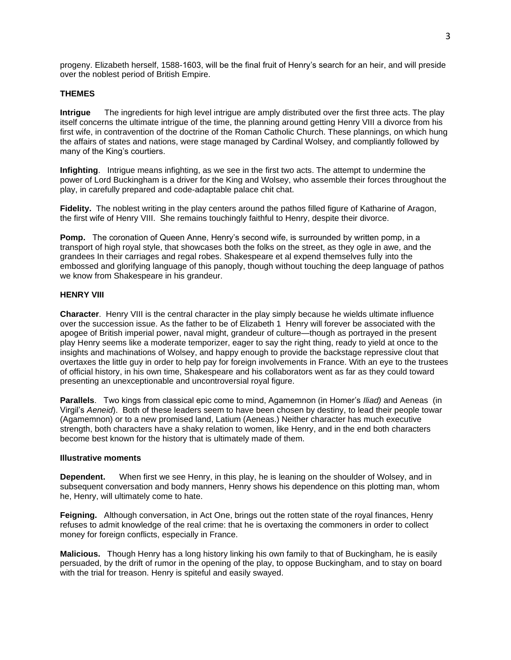progeny. Elizabeth herself, 1588-1603, will be the final fruit of Henry's search for an heir, and will preside over the noblest period of British Empire.

# **THEMES**

**Intrigue** The ingredients for high level intrigue are amply distributed over the first three acts. The play itself concerns the ultimate intrigue of the time, the planning around getting Henry VIII a divorce from his first wife, in contravention of the doctrine of the Roman Catholic Church. These plannings, on which hung the affairs of states and nations, were stage managed by Cardinal Wolsey, and compliantly followed by many of the King's courtiers.

**Infighting**. Intrigue means infighting, as we see in the first two acts. The attempt to undermine the power of Lord Buckingham is a driver for the King and Wolsey, who assemble their forces throughout the play, in carefully prepared and code-adaptable palace chit chat.

**Fidelity.** The noblest writing in the play centers around the pathos filled figure of Katharine of Aragon, the first wife of Henry VIII. She remains touchingly faithful to Henry, despite their divorce.

**Pomp.** The coronation of Queen Anne, Henry's second wife, is surrounded by written pomp, in a transport of high royal style, that showcases both the folks on the street, as they ogle in awe, and the grandees In their carriages and regal robes. Shakespeare et al expend themselves fully into the embossed and glorifying language of this panoply, though without touching the deep language of pathos we know from Shakespeare in his grandeur.

# **HENRY VIII**

**Character**. Henry VIII is the central character in the play simply because he wields ultimate influence over the succession issue. As the father to be of Elizabeth 1 Henry will forever be associated with the apogee of British imperial power, naval might, grandeur of culture—though as portrayed in the present play Henry seems like a moderate temporizer, eager to say the right thing, ready to yield at once to the insights and machinations of Wolsey, and happy enough to provide the backstage repressive clout that overtaxes the little guy in order to help pay for foreign involvements in France. With an eye to the trustees of official history, in his own time, Shakespeare and his collaborators went as far as they could toward presenting an unexceptionable and uncontroversial royal figure.

**Parallels**. Two kings from classical epic come to mind, Agamemnon (in Homer's *Iliad)* and Aeneas (in Virgil's *Aeneid*). Both of these leaders seem to have been chosen by destiny, to lead their people towar (Agamemnon) or to a new promised land, Latium (Aeneas.) Neither character has much executive strength, both characters have a shaky relation to women, like Henry, and in the end both characters become best known for the history that is ultimately made of them.

# **Illustrative moments**

**Dependent.** When first we see Henry, in this play, he is leaning on the shoulder of Wolsey, and in subsequent conversation and body manners, Henry shows his dependence on this plotting man, whom he, Henry, will ultimately come to hate.

**Feigning.** Although conversation, in Act One, brings out the rotten state of the royal finances, Henry refuses to admit knowledge of the real crime: that he is overtaxing the commoners in order to collect money for foreign conflicts, especially in France.

**Malicious.** Though Henry has a long history linking his own family to that of Buckingham, he is easily persuaded, by the drift of rumor in the opening of the play, to oppose Buckingham, and to stay on board with the trial for treason. Henry is spiteful and easily swayed.